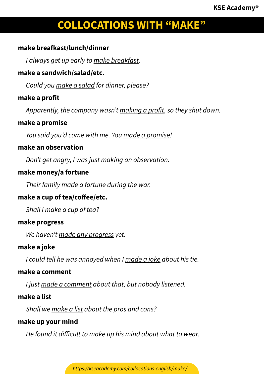## **make breafkast/lunch/dinner**

*I always get up early to make breakfast.*

### **make a sandwich/salad/etc.**

*Could you make a salad for dinner, please?*

## **make a profit**

*Apparently, the company wasn't making a profit, so they shut down.*

### **make a promise**

*You said you'd come with me. You made a promise!*

### **make an observation**

*Don't get angry, I was just making an observation.*

#### **make money/a fortune**

*Their family made a fortune during the war.*

## **make a cup of tea/coffee/etc.**

*Shall I make a cup of tea?*

#### **make progress**

*We haven't made any progress yet.*

#### **make a joke**

*I could tell he was annoyed when I made a joke about his tie.*

#### **make a comment**

*I just made a comment about that, but nobody listened.*

## **make a list**

*Shall we make a list about the pros and cons?*

#### **make up your mind**

*He found it difficult to make up his mind about what to wear.*

*https://kseacademy.com/collocations-english/make/*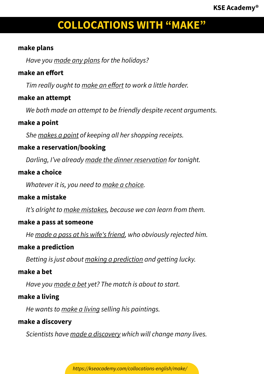### **make plans**

*Have you made any plans for the holidays?*

## **make an effort**

*Tim really ought to make an effort to work a little harder.*

## **make an attempt**

*We both made an attempt to be friendly despite recent arguments.*

## **make a point**

*She makes a point of keeping all her shopping receipts.*

# **make a reservation/booking**

*Darling, I've already made the dinner reservation for tonight.*

## **make a choice**

*Whatever it is, you need to make a choice.*

# **make a mistake**

*It's alright to make mistakes, because we can learn from them.*

## **make a pass at someone**

*He made a pass at his wife's friend, who obviously rejected him.*

## **make a prediction**

*Betting is just about making a prediction and getting lucky.*

## **make a bet**

*Have you made a bet yet? The match is about to start.*

## **make a living**

*He wants to make a living selling his paintings.*

## **make a discovery**

*Scientists have made a discovery which will change many lives.*

*https://kseacademy.com/collocations-english/make/*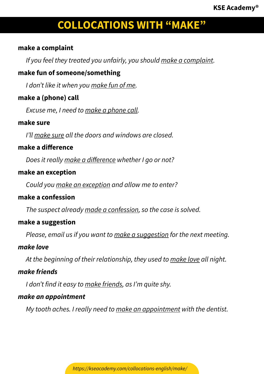### **make a complaint**

*If you feel they treated you unfairly, you should make a complaint.*

## **make fun of someone/something**

*I don't like it when you make fun of me.*

## **make a (phone) call**

*Excuse me, I need to make a phone call.*

#### **make sure**

*I'll make sure all the doors and windows are closed.*

### **make a difference**

*Does it really make a difference whether I go or not?*

### **make an exception**

*Could you make an exception and allow me to enter?*

## **make a confession**

*The suspect already made a confession, so the case is solved.*

#### **make a suggestion**

*Please, email us if you want to make a suggestion for the next meeting.*

#### *make love*

*At the beginning of their relationship, they used to make love all night.*

## *make friends*

*I don't find it easy to make friends, as I'm quite shy.*

## *make an appointment*

*My tooth aches. I really need to make an appointment with the dentist.*